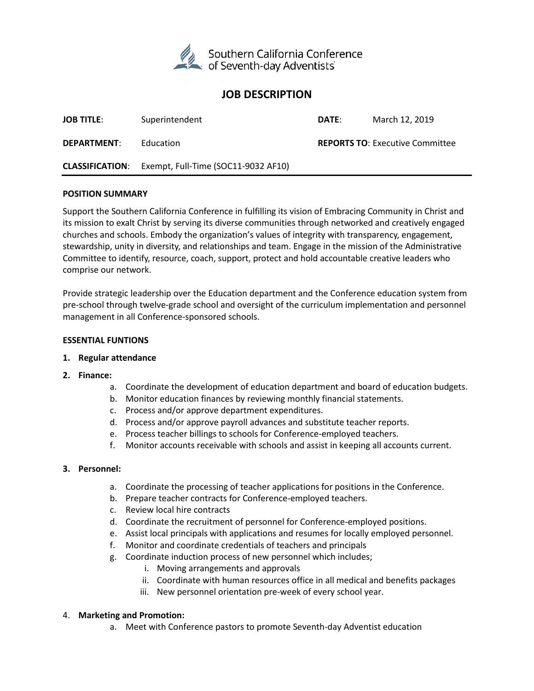

# **JOB DESCRIPTION**

| <b>JOB TITLE:</b>  | Superintendent                                             | DATE: | March 12, 2019                         |
|--------------------|------------------------------------------------------------|-------|----------------------------------------|
| <b>DEPARTMENT:</b> | Education                                                  |       | <b>REPORTS TO: Executive Committee</b> |
|                    | <b>CLASSIFICATION:</b> Exempt, Full-Time (SOC11-9032 AF10) |       |                                        |

#### **POSITION SUMMARY**

Support the Southern California Conference in fulfilling its vision of Embracing Community in Christ and its mission to exalt Christ by serving its diverse communities through networked and creatively engaged churches and schools. Embody the organization's values of integrity with transparency, engagement, stewardship, unity in diversity, and relationships and team. Engage in the mission of the Administrative Committee to identify, resource, coach, support, protect and hold accountable creative leaders who comprise our network.

Provide strategic leadership over the Education department and the Conference education system from pre-school through twelve-grade school and oversight of the curriculum implementation and personnel management in all Conference-sponsored schools.

#### **ESSENTIAL FUNTIONS**

#### **1. Regular attendance**

- **2. Finance:** 
	- a. Coordinate the development of education department and board of education budgets.
	- b. Monitor education finances by reviewing monthly financial statements.
	- c. Process and/or approve department expenditures.
	- d. Process and/or approve payroll advances and substitute teacher reports.
	- e. Process teacher billings to schools for Conference-employed teachers.
	- f. Monitor accounts receivable with schools and assist in keeping all accounts current.

### **3. Personnel:**

- a. Coordinate the processing of teacher applications for positions in the Conference.
- b. Prepare teacher contracts for Conference-employed teachers.
- c. Review local hire contracts
- d. Coordinate the recruitment of personnel for Conference-employed positions.
- e. Assist local principals with applications and resumes for locally employed personnel.
- f. Monitor and coordinate credentials of teachers and principals
- g. Coordinate induction process of new personnel which includes;
	- i. Moving arrangements and approvals
	- ii. Coordinate with human resources office in all medical and benefits packages
	- iii. New personnel orientation pre-week of every school year.

### 4. **Marketing and Promotion:**

a. Meet with Conference pastors to promote Seventh-day Adventist education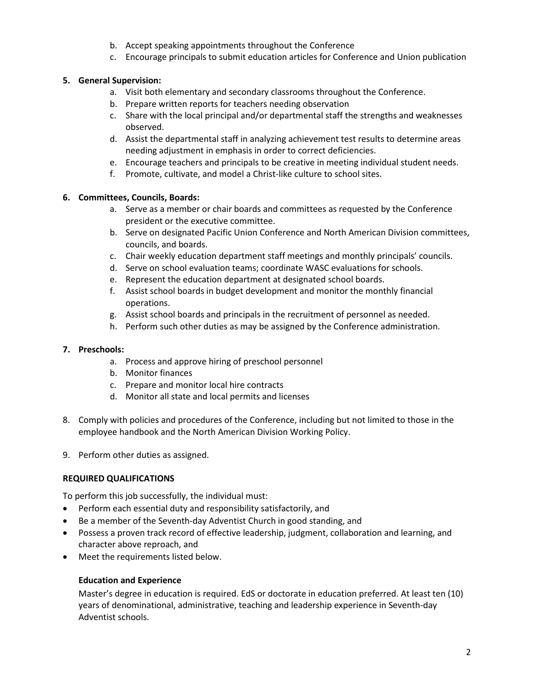- b. Accept speaking appointments throughout the Conference
- c. Encourage principals to submit education articles for Conference and Union publication

# **5. General Supervision:**

- a. Visit both elementary and secondary classrooms throughout the Conference.
- b. Prepare written reports for teachers needing observation
- c. Share with the local principal and/or departmental staff the strengths and weaknesses observed.
- d. Assist the departmental staff in analyzing achievement test results to determine areas needing adjustment in emphasis in order to correct deficiencies.
- e. Encourage teachers and principals to be creative in meeting individual student needs.
- f. Promote, cultivate, and model a Christ-like culture to school sites.

# **6. Committees, Councils, Boards:**

- a. Serve as a member or chair boards and committees as requested by the Conference president or the executive committee.
- b. Serve on designated Pacific Union Conference and North American Division committees, councils, and boards.
- c. Chair weekly education department staff meetings and monthly principals' councils.
- d. Serve on school evaluation teams; coordinate WASC evaluations for schools.
- e. Represent the education department at designated school boards.
- f. Assist school boards in budget development and monitor the monthly financial operations.
- g. Assist school boards and principals in the recruitment of personnel as needed.
- h. Perform such other duties as may be assigned by the Conference administration.

### **7. Preschools:**

- a. Process and approve hiring of preschool personnel
- b. Monitor finances
- c. Prepare and monitor local hire contracts
- d. Monitor all state and local permits and licenses
- 8. Comply with policies and procedures of the Conference, including but not limited to those in the employee handbook and the North American Division Working Policy.
- 9. Perform other duties as assigned.

### **REQUIRED QUALIFICATIONS**

To perform this job successfully, the individual must:

- Perform each essential duty and responsibility satisfactorily, and
- Be a member of the Seventh-day Adventist Church in good standing, and
- Possess a proven track record of effective leadership, judgment, collaboration and learning, and character above reproach, and
- Meet the requirements listed below.

### **Education and Experience**

Master's degree in education is required. EdS or doctorate in education preferred. At least ten (10) years of denominational, administrative, teaching and leadership experience in Seventh-day Adventist schools.